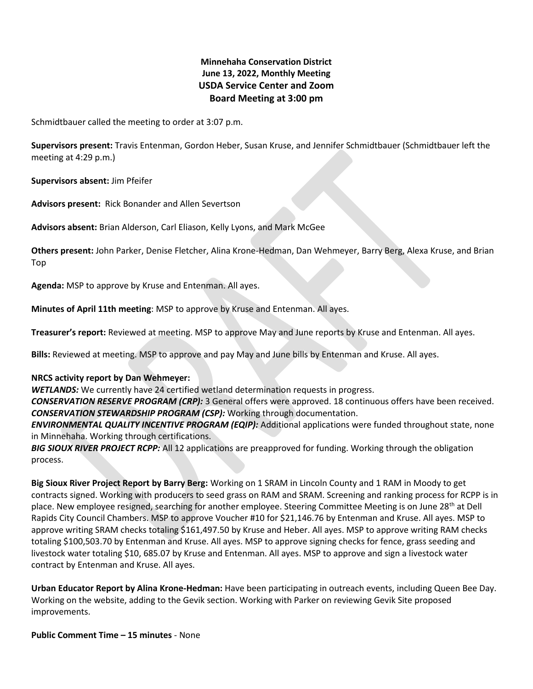# **Minnehaha Conservation District June 13, 2022, Monthly Meeting USDA Service Center and Zoom Board Meeting at 3:00 pm**

Schmidtbauer called the meeting to order at 3:07 p.m.

**Supervisors present:** Travis Entenman, Gordon Heber, Susan Kruse, and Jennifer Schmidtbauer (Schmidtbauer left the meeting at 4:29 p.m.)

**Supervisors absent:** Jim Pfeifer

**Advisors present:** Rick Bonander and Allen Severtson

**Advisors absent:** Brian Alderson, Carl Eliason, Kelly Lyons, and Mark McGee

**Others present:** John Parker, Denise Fletcher, Alina Krone-Hedman, Dan Wehmeyer, Barry Berg, Alexa Kruse, and Brian Top

**Agenda:** MSP to approve by Kruse and Entenman. All ayes.

**Minutes of April 11th meeting**: MSP to approve by Kruse and Entenman. All ayes.

**Treasurer's report:** Reviewed at meeting. MSP to approve May and June reports by Kruse and Entenman. All ayes.

**Bills:** Reviewed at meeting. MSP to approve and pay May and June bills by Entenman and Kruse. All ayes.

# **NRCS activity report by Dan Wehmeyer:**

*WETLANDS:* We currently have 24 certified wetland determination requests in progress.

*CONSERVATION RESERVE PROGRAM (CRP):* 3 General offers were approved. 18 continuous offers have been received. *CONSERVATION STEWARDSHIP PROGRAM (CSP):* Working through documentation.

*ENVIRONMENTAL QUALITY INCENTIVE PROGRAM (EQIP):* Additional applications were funded throughout state, none in Minnehaha. Working through certifications.

*BIG SIOUX RIVER PROJECT RCPP:* All 12 applications are preapproved for funding. Working through the obligation process.

**Big Sioux River Project Report by Barry Berg:** Working on 1 SRAM in Lincoln County and 1 RAM in Moody to get contracts signed. Working with producers to seed grass on RAM and SRAM. Screening and ranking process for RCPP is in place. New employee resigned, searching for another employee. Steering Committee Meeting is on June 28<sup>th</sup> at Dell Rapids City Council Chambers. MSP to approve Voucher #10 for \$21,146.76 by Entenman and Kruse. All ayes. MSP to approve writing SRAM checks totaling \$161,497.50 by Kruse and Heber. All ayes. MSP to approve writing RAM checks totaling \$100,503.70 by Entenman and Kruse. All ayes. MSP to approve signing checks for fence, grass seeding and livestock water totaling \$10, 685.07 by Kruse and Entenman. All ayes. MSP to approve and sign a livestock water contract by Entenman and Kruse. All ayes.

**Urban Educator Report by Alina Krone-Hedman:** Have been participating in outreach events, including Queen Bee Day. Working on the website, adding to the Gevik section. Working with Parker on reviewing Gevik Site proposed improvements.

**Public Comment Time – 15 minutes** - None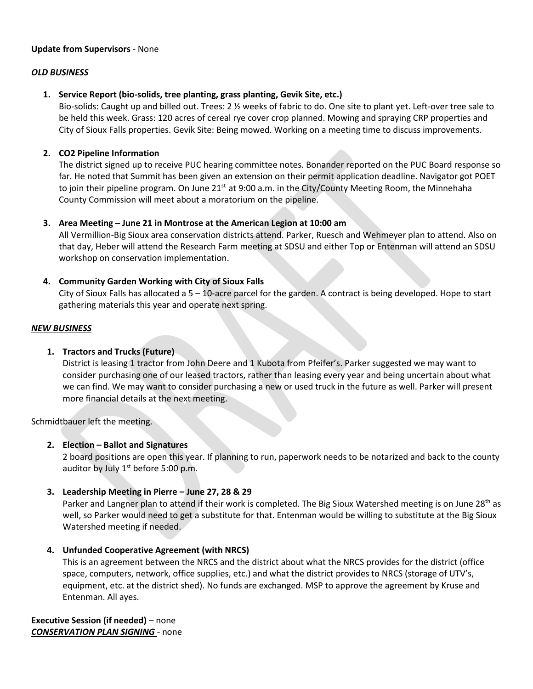#### **Update from Supervisors** - None

#### *OLD BUSINESS*

# **1. Service Report (bio-solids, tree planting, grass planting, Gevik Site, etc.)**

Bio-solids: Caught up and billed out. Trees: 2 ½ weeks of fabric to do. One site to plant yet. Left-over tree sale to be held this week. Grass: 120 acres of cereal rye cover crop planned. Mowing and spraying CRP properties and City of Sioux Falls properties. Gevik Site: Being mowed. Working on a meeting time to discuss improvements.

#### **2. CO2 Pipeline Information**

The district signed up to receive PUC hearing committee notes. Bonander reported on the PUC Board response so far. He noted that Summit has been given an extension on their permit application deadline. Navigator got POET to join their pipeline program. On June 21<sup>st</sup> at 9:00 a.m. in the City/County Meeting Room, the Minnehaha County Commission will meet about a moratorium on the pipeline.

#### **3. Area Meeting – June 21 in Montrose at the American Legion at 10:00 am**

All Vermillion-Big Sioux area conservation districts attend. Parker, Ruesch and Wehmeyer plan to attend. Also on that day, Heber will attend the Research Farm meeting at SDSU and either Top or Entenman will attend an SDSU workshop on conservation implementation.

# **4. Community Garden Working with City of Sioux Falls**

City of Sioux Falls has allocated a 5 – 10-acre parcel for the garden. A contract is being developed. Hope to start gathering materials this year and operate next spring.

#### *NEW BUSINESS*

# **1. Tractors and Trucks (Future)**

District is leasing 1 tractor from John Deere and 1 Kubota from Pfeifer's. Parker suggested we may want to consider purchasing one of our leased tractors, rather than leasing every year and being uncertain about what we can find. We may want to consider purchasing a new or used truck in the future as well. Parker will present more financial details at the next meeting.

Schmidtbauer left the meeting.

# **2. Election – Ballot and Signatures**

2 board positions are open this year. If planning to run, paperwork needs to be notarized and back to the county auditor by July  $1<sup>st</sup>$  before 5:00 p.m.

# **3. Leadership Meeting in Pierre – June 27, 28 & 29**

Parker and Langner plan to attend if their work is completed. The Big Sioux Watershed meeting is on June 28<sup>th</sup> as well, so Parker would need to get a substitute for that. Entenman would be willing to substitute at the Big Sioux Watershed meeting if needed.

# **4. Unfunded Cooperative Agreement (with NRCS)**

This is an agreement between the NRCS and the district about what the NRCS provides for the district (office space, computers, network, office supplies, etc.) and what the district provides to NRCS (storage of UTV's, equipment, etc. at the district shed). No funds are exchanged. MSP to approve the agreement by Kruse and Entenman. All ayes.

**Executive Session (if needed)** – none *CONSERVATION PLAN SIGNING* - none